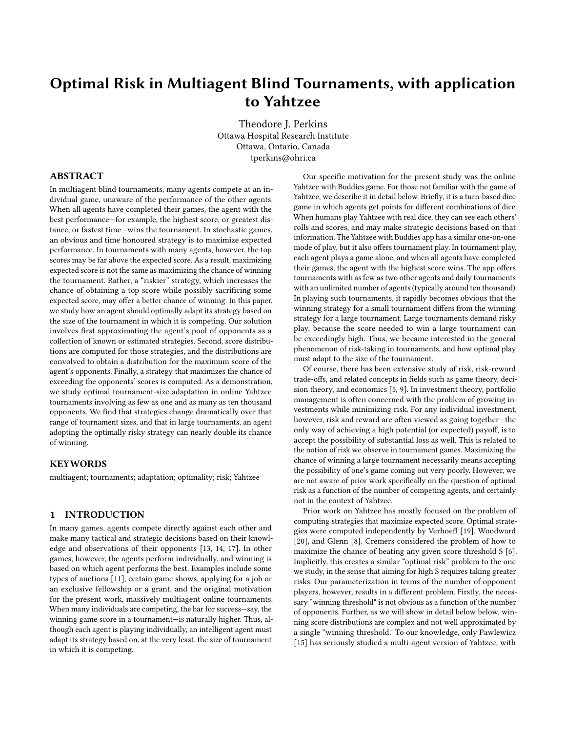# Optimal Risk in Multiagent Blind Tournaments, with application to Yahtzee

Theodore J. Perkins Ottawa Hospital Research Institute Ottawa, Ontario, Canada tperkins@ohri.ca

# ABSTRACT

In multiagent blind tournaments, many agents compete at an individual game, unaware of the performance of the other agents. When all agents have completed their games, the agent with the best performance—for example, the highest score, or greatest distance, or fastest time—wins the tournament. In stochastic games, an obvious and time honoured strategy is to maximize expected performance. In tournaments with many agents, however, the top scores may be far above the expected score. As a result, maximizing expected score is not the same as maximizing the chance of winning the tournament. Rather, a "riskier" strategy, which increases the chance of obtaining a top score while possibly sacrificing some expected score, may offer a better chance of winning. In this paper, we study how an agent should optimally adapt its strategy based on the size of the tournament in which it is competing. Our solution involves first approximating the agent's pool of opponents as a collection of known or estimated strategies. Second, score distributions are computed for those strategies, and the distributions are convolved to obtain a distribution for the maximum score of the agent's opponents. Finally, a strategy that maximizes the chance of exceeding the opponents' scores is computed. As a demonstration, we study optimal tournament-size adaptation in online Yahtzee tournaments involving as few as one and as many as ten thousand opponents. We find that strategies change dramatically over that range of tournament sizes, and that in large tournaments, an agent adopting the optimally risky strategy can nearly double its chance of winning.

## **KEYWORDS**

multiagent; tournaments; adaptation; optimality; risk; Yahtzee

#### 1 INTRODUCTION

In many games, agents compete directly against each other and make many tactical and strategic decisions based on their knowledge and observations of their opponents [\[13,](#page-7-0) [14,](#page-7-1) [17\]](#page-7-2). In other games, however, the agents perform individually, and winning is based on which agent performs the best. Examples include some types of auctions [\[11\]](#page-7-3), certain game shows, applying for a job or an exclusive fellowship or a grant, and the original motivation for the present work, massively multiagent online tournaments. When many individuals are competing, the bar for success—say, the winning game score in a tournament—is naturally higher. Thus, although each agent is playing individually, an intelligent agent must adapt its strategy based on, at the very least, the size of tournament in which it is competing.

Our specific motivation for the present study was the online Yahtzee with Buddies game. For those not familiar with the game of Yahtzee, we describe it in detail below. Briefly, it is a turn-based dice game in which agents get points for different combinations of dice. When humans play Yahtzee with real dice, they can see each others' rolls and scores, and may make strategic decisions based on that information. The Yahtzee with Buddies app has a similar one-on-one mode of play, but it also offers tournament play. In tournament play, each agent plays a game alone, and when all agents have completed their games, the agent with the highest score wins. The app offers tournaments with as few as two other agents and daily tournaments with an unlimited number of agents (typically around ten thousand). In playing such tournaments, it rapidly becomes obvious that the winning strategy for a small tournament differs from the winning strategy for a large tournament. Large tournaments demand risky play, because the score needed to win a large tournament can be exceedingly high. Thus, we became interested in the general phenomenon of risk-taking in tournaments, and how optimal play must adapt to the size of the tournament.

Of course, there has been extensive study of risk, risk-reward trade-offs, and related concepts in fields such as game theory, decision theory, and economics [\[5,](#page-7-4) [9\]](#page-7-5). In investment theory, portfolio management is often concerned with the problem of growing investments while minimizing risk. For any individual investment, however, risk and reward are often viewed as going together—the only way of achieving a high potential (or expected) payoff, is to accept the possibility of substantial loss as well. This is related to the notion of risk we observe in tournament games. Maximizing the chance of winning a large tournament necessarily means accepting the possibility of one's game coming out very poorly. However, we are not aware of prior work specifically on the question of optimal risk as a function of the number of competing agents, and certainly not in the context of Yahtzee.

Prior work on Yahtzee has mostly focused on the problem of computing strategies that maximize expected score. Optimal strategies were computed independently by Verhoeff [\[19\]](#page-7-6), Woodward [\[20\]](#page-7-7), and Glenn [\[8\]](#page-7-8). Cremers considered the problem of how to maximize the chance of beating any given score threshold S [\[6\]](#page-7-9). Implicitly, this creates a similar "optimal risk" problem to the one we study, in the sense that aiming for high S requires taking greater risks. Our parameterization in terms of the number of opponent players, however, results in a different problem. Firstly, the necessary "winning threshold" is not obvious as a function of the number of opponents. Further, as we will show in detail below below, winning score distributions are complex and not well approximated by a single "winning threshold." To our knowledge, only Pawlewicz [\[15\]](#page-7-10) has seriously studied a multi-agent version of Yahtzee, with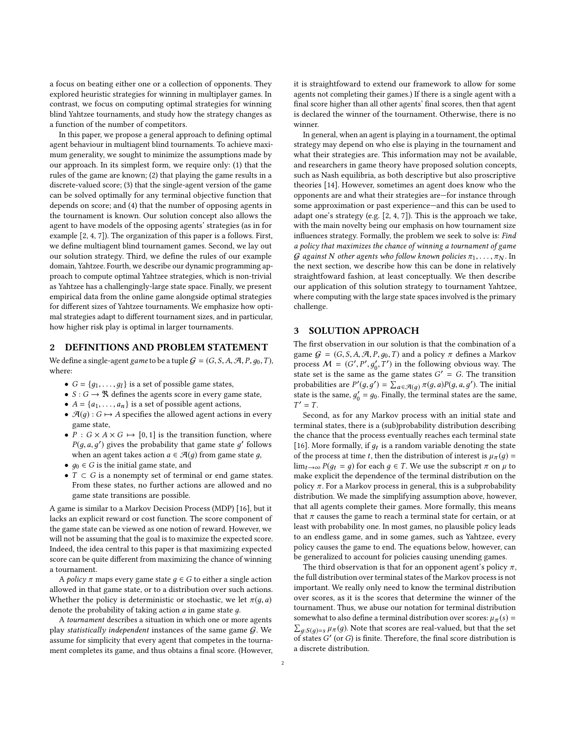a focus on beating either one or a collection of opponents. They explored heuristic strategies for winning in multiplayer games. In contrast, we focus on computing optimal strategies for winning blind Yahtzee tournaments, and study how the strategy changes as a function of the number of competitors.

In this paper, we propose a general approach to defining optimal agent behaviour in multiagent blind tournaments. To achieve maximum generality, we sought to minimize the assumptions made by our approach. In its simplest form, we require only: (1) that the rules of the game are known; (2) that playing the game results in a discrete-valued score; (3) that the single-agent version of the game can be solved optimally for any terminal objective function that depends on score; and (4) that the number of opposing agents in the tournament is known. Our solution concept also allows the agent to have models of the opposing agents' strategies (as in for example [\[2,](#page-7-11) [4,](#page-7-12) [7\]](#page-7-13)). The organization of this paper is a follows. First, we define multiagent blind tournament games. Second, we lay out our solution strategy. Third, we define the rules of our example domain, Yahtzee. Fourth, we describe our dynamic programming approach to compute optimal Yahtzee strategies, which is non-trivial as Yahtzee has a challengingly-large state space. Finally, we present empirical data from the online game alongside optimal strategies for different sizes of Yahtzee tournaments. We emphasize how optimal strategies adapt to different tournament sizes, and in particular, how higher risk play is optimal in larger tournaments.

## 2 DEFINITIONS AND PROBLEM STATEMENT

We define a single-agent game to be a tuple  $G = (G, S, A, A, P, q_0, T)$ , where:

- $G = \{g_1, \ldots, g_l\}$  is a set of possible game states,<br>•  $S : G \longrightarrow \mathbb{R}$  defines the agents score in every game
- $S: G \to \mathbb{R}$  defines the agents score in every game state,
- $A = \{a_1, \ldots, a_n\}$  is a set of possible agent actions,
- $\mathcal{A}(q): G \mapsto A$  specifies the allowed agent actions in every game state,
- $P : G \times A \times G \mapsto [0, 1]$  is the transition function, where  $P(g, a, g')$  gives the probability that game state  $g'$  follows<br>when an agent takes action  $a \in \mathcal{A}(a)$  from game state a when an agent takes action  $a \in \mathcal{A}(q)$  from game state  $q$ ,
- $g_0 \in G$  is the initial game state, and
- $T \subset G$  is a nonempty set of terminal or end game states. From these states, no further actions are allowed and no game state transitions are possible.

A game is similar to a Markov Decision Process (MDP) [\[16\]](#page-7-14), but it lacks an explicit reward or cost function. The score component of the game state can be viewed as one notion of reward. However, we will not be assuming that the goal is to maximize the expected score. Indeed, the idea central to this paper is that maximizing expected score can be quite different from maximizing the chance of winning a tournament.

A policy  $\pi$  maps every game state  $q \in G$  to either a single action allowed in that game state, or to a distribution over such actions. Whether the policy is deterministic or stochastic, we let  $\pi(q, a)$ denote the probability of taking action a in game state д.

A tournament describes a situation in which one or more agents play statistically independent instances of the same game  $G$ . We assume for simplicity that every agent that competes in the tournament completes its game, and thus obtains a final score. (However, it is straightfoward to extend our framework to allow for some agents not completing their games.) If there is a single agent with a final score higher than all other agents' final scores, then that agent is declared the winner of the tournament. Otherwise, there is no winner.

In general, when an agent is playing in a tournament, the optimal strategy may depend on who else is playing in the tournament and what their strategies are. This information may not be available, and researchers in game theory have proposed solution concepts, such as Nash equilibria, as both descriptive but also proscriptive theories [\[14\]](#page-7-1). However, sometimes an agent does know who the opponents are and what their strategies are—for instance through some approximation or past experience—and this can be used to adapt one's strategy (e.g. [\[2,](#page-7-11) [4,](#page-7-12) [7\]](#page-7-13)). This is the approach we take, with the main novelty being our emphasis on how tournament size influences strategy. Formally, the problem we seek to solve is: Find a policy that maximizes the chance of winning a tournament of game G against N other agents who follow known policies  $\pi_1, \ldots, \pi_N$ . In the next section, we describe how this can be done in relatively straightfoward fashion, at least conceptually. We then describe our application of this solution strategy to tournament Yahtzee, where computing with the large state spaces involved is the primary challenge.

## <span id="page-1-0"></span>3 SOLUTION APPROACH

The first observation in our solution is that the combination of a game  $G = (G, S, A, A, P, g_0, T)$  and a policy  $\pi$  defines a Markov process  $M = (G', P', g'_0, T')$  in the following obvious way. The state set is the same as the same states  $G' = G$ . The transition state set is the same as the game states  $G' = G$ . The transition<br>probabilities are  $P'(a, a') = \sum_{x \in A} \pi(a, a)P(a, a, a')$ . The initial probabilities are  $P'(g, g') = \sum_{a \in \mathcal{A}(g)} \pi(g, a) P(g, a, g')$ . The initial<br>state is the same  $a' = a_0$ . Finally, the terminal states are the same state is the same,  $g'_0 = g_0$ . Finally, the terminal states are the same,  $T' - T$  $T' = T$ .

Second, as for any Markov process with an initial state and terminal states, there is a (sub)probability distribution describing the chance that the process eventually reaches each terminal state [\[16\]](#page-7-14). More formally, if  $g_t$  is a random variable denoting the state<br>of the process at time t then the distribution of interest is  $u_a(x)$ of the process at time t, then the distribution of interest is  $\mu_{\pi}(q)$  =  $\lim_{t\to\infty} P(q_t = g)$  for each  $g \in T$ . We use the subscript  $\pi$  on  $\mu$  to make explicit the dependence of the terminal distribution on the policy  $\pi$ . For a Markov process in general, this is a subprobability distribution. We made the simplifying assumption above, however, that all agents complete their games. More formally, this means that  $\pi$  causes the game to reach a terminal state for certain, or at least with probability one. In most games, no plausible policy leads to an endless game, and in some games, such as Yahtzee, every policy causes the game to end. The equations below, however, can be generalized to account for policies causing unending games.

The third observation is that for an opponent agent's policy  $\pi$ , the full distribution over terminal states of the Markov process is not important. We really only need to know the terminal distribution over scores, as it is the scores that determine the winner of the tournament. Thus, we abuse our notation for terminal distribution somewhat to also define a terminal distribution over scores:  $\mu_{\pi}(s) = \sum_{g:S(g)=s} \mu_{\pi}(g)$ . Note that scores are real-valued, but that the set of states  $G'$  (or  $G$ ) is finite. Therefore, the final score distribution is of states  $G'$  (or  $G$ ) is finite. Therefore, the final score distribution is<br>a discrete distribution a discrete distribution.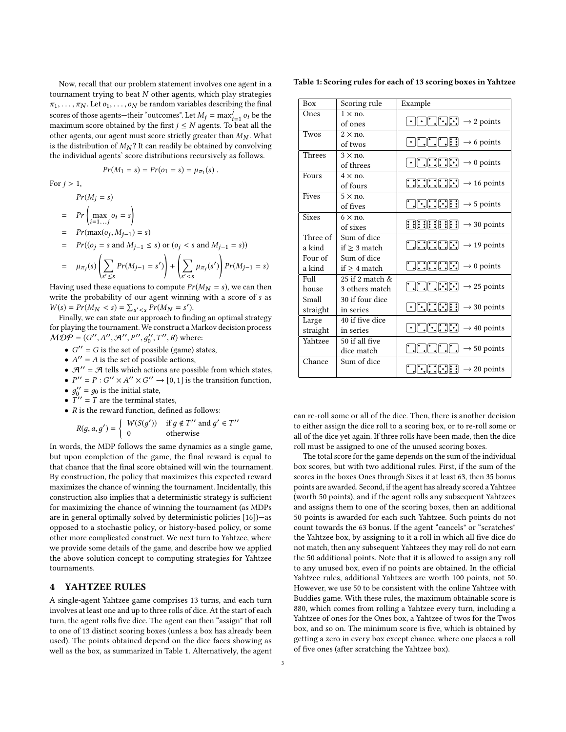Now, recall that our problem statement involves one agent in a tournament trying to beat  $N$  other agents, which play strategies  $\pi_1, \ldots, \pi_N$ . Let  $o_1, \ldots, o_N$  be random variables describing the final scores of those agents—their "outcomes". Let  $M_j = \max_{i=1}^j o_i$  be the maximum score obtained by the first  $i < N$  agents. To beat all the scores of those agents—their outcomes . Let  $m_j = \max_{i=1}^{j} v_i$  be the maximum score obtained by the first  $j \leq N$  agents. To beat all the other agents, our agent must score strictly greater than  $M_N$ . What other agents, our agent must score strictly greater than  $M_N$ . What is the distribution of  $M_N$ ? It can readily be obtained by convolving the individual agents' score distributions recursively as follows.

$$
Pr(M_1 = s) = Pr(o_1 = s) = \mu_{\pi_1}(s) \; .
$$

For  $j > 1$ ,

 $Pr(M_i = s)$ 

- $= Pr \left( \max_{i=1...j} o_i = s \right)$
- =  $Pr(max(o_j, M_{j-1}) = s)$

$$
= Pr((o_j = s \text{ and } M_{j-1} \le s) \text{ or } (o_j < s \text{ and } M_{j-1} = s))
$$

$$
= \mu_{\pi_j}(s) \left( \sum_{s' \le s} Pr(M_{j-1} = s') \right) + \left( \sum_{s' < s} \mu_{\pi_j}(s') \right) Pr(M_{j-1} = s)
$$

 $\sqrt{s' \leq s}$  /  $\sqrt{s' \leq s}$  /<br>Having used these equations to compute  $Pr(M_N = s)$ , we can then write the probability of our agent winning with a score of s as  $W(s) = Pr(M_N < s) = \sum_{s' < s} Pr(M_N = s').$ <br>Finally we can state our approach to find

Finally, we can state our approach to finding an optimal strategy for playing the tournament. We construct a Markov decision process  $\widehat{MDP} = (G'', A'', \mathcal{A}'', P'', g''_0, T'', R)$  where:

- $G'' = G$  is the set of possible (game) states,
- $A'' = A$  is the set of possible actions,<br>•  $A'' = A$  tells which actions are possible
- $\mathcal{A}^{\prime\prime} = \mathcal{A}$  tells which actions are possible from which states,
- $P'' = P : G'' \times A'' \times G'' \rightarrow [0, 1]$  is the transition function,
- $g_0'' = g_0$  is the initial state,<br>•  $T'' T$  are the terminal state.
- $T'' = T$  are the terminal states,<br>• P is the reward function, define
- $R$  is the reward function, defined as follows:

$$
R(g, a, g') = \begin{cases} W(S(g')) & \text{if } g \notin T'' \text{ and } g' \in T'' \\ 0 & \text{otherwise} \end{cases}
$$

In words, the MDP follows the same dynamics as a single game, but upon completion of the game, the final reward is equal to that chance that the final score obtained will win the tournament. By construction, the policy that maximizes this expected reward maximizes the chance of winning the tournament. Incidentally, this construction also implies that a deterministic strategy is sufficient for maximizing the chance of winning the tournament (as MDPs are in general optimally solved by deterministic policies [\[16\]](#page-7-14))—as opposed to a stochastic policy, or history-based policy, or some other more complicated construct. We next turn to Yahtzee, where we provide some details of the game, and describe how we applied the above solution concept to computing strategies for Yahtzee tournaments.

#### 4 YAHTZEE RULES

A single-agent Yahtzee game comprises 13 turns, and each turn involves at least one and up to three rolls of dice. At the start of each turn, the agent rolls five dice. The agent can then "assign" that roll to one of 13 distinct scoring boxes (unless a box has already been used). The points obtained depend on the dice faces showing as well as the box, as summarized in Table [1.](#page-2-0) Alternatively, the agent

<span id="page-2-0"></span>Table 1: Scoring rules for each of 13 scoring boxes in Yahtzee

| <b>Box</b>        | Scoring rule       | Example                                                                                                                                                                                                                                                                                                                                                                                                                        |
|-------------------|--------------------|--------------------------------------------------------------------------------------------------------------------------------------------------------------------------------------------------------------------------------------------------------------------------------------------------------------------------------------------------------------------------------------------------------------------------------|
| Ones              | $1 \times n$ o.    |                                                                                                                                                                                                                                                                                                                                                                                                                                |
|                   | of ones            | $\bigodot \bigodot \bigodot \bigodot \bigodot$ : $\bigodot$ $\rightarrow$ 2 points                                                                                                                                                                                                                                                                                                                                             |
| Twos              | $2 \times$ no.     |                                                                                                                                                                                                                                                                                                                                                                                                                                |
|                   | of twos            |                                                                                                                                                                                                                                                                                                                                                                                                                                |
| Threes            | $3 \times$ no.     |                                                                                                                                                                                                                                                                                                                                                                                                                                |
|                   | of threes          | $\begin{array}{ c c c c c c }\n\hline\n\textbf{1} & \textbf{1} & \textbf{1} & \textbf{1} \\ \hline\n\textbf{2} & \textbf{1} & \textbf{1} & \textbf{1} \\ \hline\n\textbf{3} & \textbf{1} & \textbf{1} & \textbf{1} \\ \hline\n\textbf{4} & \textbf{1} & \textbf{1} & \textbf{1} \\ \hline\n\textbf{5} & \textbf{1} & \textbf{1} & \textbf{1} \\ \hline\n\textbf{6} & \textbf{1} & \textbf{1} & \textbf{1} \\ \hline\n\textbf{$ |
| Fours             | $4 \times n$ o.    |                                                                                                                                                                                                                                                                                                                                                                                                                                |
|                   | of fours           |                                                                                                                                                                                                                                                                                                                                                                                                                                |
| Fives             | $5 \times$ no.     |                                                                                                                                                                                                                                                                                                                                                                                                                                |
|                   | of fives           | $\boxed{\cdot \cdot \cdot \cdot \cdot \cdot \cdot \cdot}$ $\rightarrow$ 5 points                                                                                                                                                                                                                                                                                                                                               |
| <b>Sixes</b>      | $6 \times$ no.     |                                                                                                                                                                                                                                                                                                                                                                                                                                |
|                   | of sixes           |                                                                                                                                                                                                                                                                                                                                                                                                                                |
| Three of          | Sum of dice        |                                                                                                                                                                                                                                                                                                                                                                                                                                |
| a kind            | if $\geq 3$ match  |                                                                                                                                                                                                                                                                                                                                                                                                                                |
| Four of           | Sum of dice        |                                                                                                                                                                                                                                                                                                                                                                                                                                |
| a kind            | $if > 4$ match     |                                                                                                                                                                                                                                                                                                                                                                                                                                |
| F <sub>U</sub> 11 | 25 if 2 match $\&$ |                                                                                                                                                                                                                                                                                                                                                                                                                                |
| house             | 3 others match     | $\boxed{\cdot}$ $\boxed{\cdot}$ $\boxed{\cdot}$ $\rightarrow$ 25 points                                                                                                                                                                                                                                                                                                                                                        |
| Small             | 30 if four dice    |                                                                                                                                                                                                                                                                                                                                                                                                                                |
| straight          | in series          |                                                                                                                                                                                                                                                                                                                                                                                                                                |
| Large             | 40 if five dice    |                                                                                                                                                                                                                                                                                                                                                                                                                                |
| straight          | in series          | $\begin{array}{ c c c c c c c c }\n\hline\n\hline\n\textbf{1} & \textbf{1} & \textbf{1} & \textbf{1} & \textbf{1} & \textbf{1} \\ \hline\n\textbf{2} & \textbf{3} & \textbf{1} & \textbf{1} & \textbf{1} & \textbf{1} \\ \hline\n\textbf{3} & \textbf{1} & \textbf{1} & \textbf{1} & \textbf{1} & \textbf{1} \\ \hline\n\textbf{4} & \textbf{1} & \textbf{1} & \textbf{1} & \textbf{1} & \textbf{1} \\ \hline\n\textbf{$       |
| Yahtzee           | 50 if all five     |                                                                                                                                                                                                                                                                                                                                                                                                                                |
|                   | dice match         |                                                                                                                                                                                                                                                                                                                                                                                                                                |
| Chance            | Sum of dice        | $\begin{bmatrix} \cdot & \cdot & \cdot \\ \cdot & \cdot & \cdot \end{bmatrix}$ : $\begin{bmatrix} \cdot & \cdot \\ \cdot & \cdot \end{bmatrix}$ = 20 points                                                                                                                                                                                                                                                                    |
|                   |                    |                                                                                                                                                                                                                                                                                                                                                                                                                                |

can re-roll some or all of the dice. Then, there is another decision to either assign the dice roll to a scoring box, or to re-roll some or all of the dice yet again. If three rolls have been made, then the dice roll must be assigned to one of the unused scoring boxes.

The total score for the game depends on the sum of the individual box scores, but with two additional rules. First, if the sum of the scores in the boxes Ones through Sixes it at least 63, then 35 bonus points are awarded. Second, if the agent has already scored a Yahtzee (worth 50 points), and if the agent rolls any subsequent Yahtzees and assigns them to one of the scoring boxes, then an additional 50 points is awarded for each such Yahtzee. Such points do not count towards the 63 bonus. If the agent "cancels" or "scratches" the Yahtzee box, by assigning to it a roll in which all five dice do not match, then any subsequent Yahtzees they may roll do not earn the 50 additional points. Note that it is allowed to assign any roll to any unused box, even if no points are obtained. In the official Yahtzee rules, additional Yahtzees are worth 100 points, not 50. However, we use 50 to be consistent with the online Yahtzee with Buddies game. With these rules, the maximum obtainable score is 880, which comes from rolling a Yahtzee every turn, including a Yahtzee of ones for the Ones box, a Yahtzee of twos for the Twos box, and so on. The minimum score is five, which is obtained by getting a zero in every box except chance, where one places a roll of five ones (after scratching the Yahtzee box).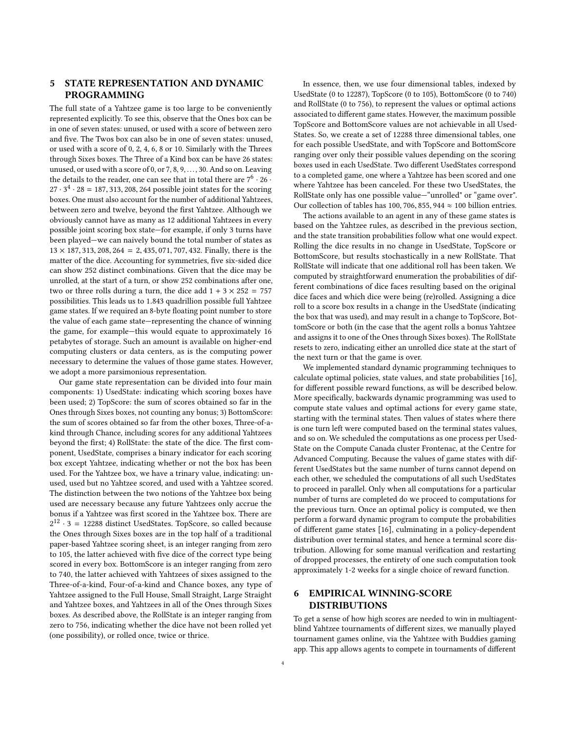# 5 STATE REPRESENTATION AND DYNAMIC PROGRAMMING

The full state of a Yahtzee game is too large to be conveniently represented explicitly. To see this, observe that the Ones box can be in one of seven states: unused, or used with a score of between zero and five. The Twos box can also be in one of seven states: unused, or used with a score of 0, 2, 4, 6, 8 or 10. Similarly with the Threes through Sixes boxes. The Three of a Kind box can be have 26 states: unused, or used with a score of 0, or 7, 8, 9, . . . , 30. And so on. Leaving the details to the reader, one can see that in total there are  $7^6 \cdot 26 \cdot$  $27 \cdot 3^4 \cdot 28 = 187,313,208,264$  possible joint states for the scoring<br>hoves. One must also account for the number of additional Vahtzees boxes. One must also account for the number of additional Yahtzees, between zero and twelve, beyond the first Yahtzee. Although we obviously cannot have as many as 12 additional Yahtzees in every possible joint scoring box state—for example, if only 3 turns have been played—we can naively bound the total number of states as  $13 \times 187, 313, 208, 264 = 2, 435, 071, 707, 432$ . Finally, there is the matter of the dice. Accounting for symmetries, five six-sided dice can show 252 distinct combinations. Given that the dice may be unrolled, at the start of a turn, or show 252 combinations after one, two or three rolls during a turn, the dice add  $1 + 3 \times 252 = 757$ possibilities. This leads us to <sup>1</sup>.<sup>843</sup> quadrillion possible full Yahtzee game states. If we required an 8-byte floating point number to store the value of each game state—representing the chance of winning the game, for example—this would equate to approximately 16 petabytes of storage. Such an amount is available on higher-end computing clusters or data centers, as is the computing power necessary to determine the values of those game states. However, we adopt a more parsimonious representation.

Our game state representation can be divided into four main components: 1) UsedState: indicating which scoring boxes have been used; 2) TopScore: the sum of scores obtained so far in the Ones through Sixes boxes, not counting any bonus; 3) BottomScore: the sum of scores obtained so far from the other boxes, Three-of-akind through Chance, including scores for any additional Yahtzees beyond the first; 4) RollState: the state of the dice. The first component, UsedState, comprises a binary indicator for each scoring box except Yahtzee, indicating whether or not the box has been used. For the Yahtzee box, we have a trinary value, indicating: unused, used but no Yahtzee scored, and used with a Yahtzee scored. The distinction between the two notions of the Yahtzee box being used are necessary because any future Yahtzees only accrue the bonus if a Yahtzee was first scored in the Yahtzee box. There are  $2^{12} \cdot 3 = 12288$  distinct UsedStates. TopScore, so called because the Ones through Sixes boxes are in the top half of a traditional paper-based Yahtzee scoring sheet, is an integer ranging from zero to 105, the latter achieved with five dice of the correct type being scored in every box. BottomScore is an integer ranging from zero to 740, the latter achieved with Yahtzees of sixes assigned to the Three-of-a-kind, Four-of-a-kind and Chance boxes, any type of Yahtzee assigned to the Full House, Small Straight, Large Straight and Yahtzee boxes, and Yahtzees in all of the Ones through Sixes boxes. As described above, the RollState is an integer ranging from zero to 756, indicating whether the dice have not been rolled yet (one possibility), or rolled once, twice or thrice.

In essence, then, we use four dimensional tables, indexed by UsedState (0 to 12287), TopScore (0 to 105), BottomScore (0 to 740) and RollState (0 to 756), to represent the values or optimal actions associated to different game states. However, the maximum possible TopScore and BottomScore values are not achievable in all Used-States. So, we create a set of 12288 three dimensional tables, one for each possible UsedState, and with TopScore and BottomScore ranging over only their possible values depending on the scoring boxes used in each UsedState. Two different UsedStates correspond to a completed game, one where a Yahtzee has been scored and one where Yahtzee has been canceled. For these two UsedStates, the RollState only has one possible value—"unrolled" or "game over". Our collection of tables has 100, 706, 855, 944  $\approx$  100 billion entries.

The actions available to an agent in any of these game states is based on the Yahtzee rules, as described in the previous section, and the state transition probabilities follow what one would expect. Rolling the dice results in no change in UsedState, TopScore or BottomScore, but results stochastically in a new RollState. That RollState will indicate that one additional roll has been taken. We computed by straightforward enumeration the probabilities of different combinations of dice faces resulting based on the original dice faces and which dice were being (re)rolled. Assigning a dice roll to a score box results in a change in the UsedState (indicating the box that was used), and may result in a change to TopScore, BottomScore or both (in the case that the agent rolls a bonus Yahtzee and assigns it to one of the Ones through Sixes boxes). The RollState resets to zero, indicating either an unrolled dice state at the start of the next turn or that the game is over.

We implemented standard dynamic programming techniques to calculate optimal policies, state values, and state probabilities [\[16\]](#page-7-14), for different possible reward functions, as will be described below. More specifically, backwards dynamic programming was used to compute state values and optimal actions for every game state, starting with the terminal states. Then values of states where there is one turn left were computed based on the terminal states values, and so on. We scheduled the computations as one process per Used-State on the Compute Canada cluster Frontenac, at the Centre for Advanced Computing. Because the values of game states with different UsedStates but the same number of turns cannot depend on each other, we scheduled the computations of all such UsedStates to proceed in parallel. Only when all computations for a particular number of turns are completed do we proceed to computations for the previous turn. Once an optimal policy is computed, we then perform a forward dynamic program to compute the probabilities of different game states [\[16\]](#page-7-14), culminating in a policy-dependent distribution over terminal states, and hence a terminal score distribution. Allowing for some manual verification and restarting of dropped processes, the entirety of one such computation took approximately 1-2 weeks for a single choice of reward function.

# 6 EMPIRICAL WINNING-SCORE DISTRIBUTIONS

To get a sense of how high scores are needed to win in multiagentblind Yahtzee tournaments of different sizes, we manually played tournament games online, via the Yahtzee with Buddies gaming app. This app allows agents to compete in tournaments of different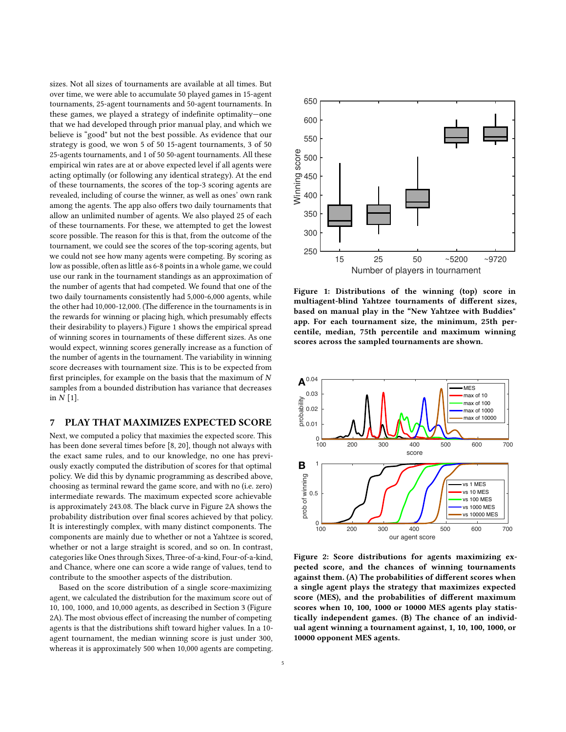sizes. Not all sizes of tournaments are available at all times. But over time, we were able to accumulate 50 played games in 15-agent tournaments, 25-agent tournaments and 50-agent tournaments. In these games, we played a strategy of indefinite optimality—one that we had developed through prior manual play, and which we believe is "good" but not the best possible. As evidence that our strategy is good, we won 5 of 50 15-agent tournaments, 3 of 50 25-agents tournaments, and 1 of 50 50-agent tournaments. All these empirical win rates are at or above expected level if all agents were acting optimally (or following any identical strategy). At the end of these tournaments, the scores of the top-3 scoring agents are revealed, including of course the winner, as well as ones' own rank among the agents. The app also offers two daily tournaments that allow an unlimited number of agents. We also played 25 of each of these tournaments. For these, we attempted to get the lowest score possible. The reason for this is that, from the outcome of the tournament, we could see the scores of the top-scoring agents, but we could not see how many agents were competing. By scoring as low as possible, often as little as 6-8 points in a whole game, we could use our rank in the tournament standings as an approximation of the number of agents that had competed. We found that one of the two daily tournaments consistently had 5,000-6,000 agents, while the other had 10,000-12,000. (The difference in the tournaments is in the rewards for winning or placing high, which presumably effects their desirability to players.) Figure [1](#page-4-0) shows the empirical spread of winning scores in tournaments of these different sizes. As one would expect, winning scores generally increase as a function of the number of agents in the tournament. The variability in winning score decreases with tournament size. This is to be expected from first principles, for example on the basis that the maximum of  $N$ samples from a bounded distribution has variance that decreases in  $N$  [\[1\]](#page-7-15).

# 7 PLAY THAT MAXIMIZES EXPECTED SCORE

Next, we computed a policy that maximies the expected score. This has been done several times before [\[8,](#page-7-8) [20\]](#page-7-7), though not always with the exact same rules, and to our knowledge, no one has previously exactly computed the distribution of scores for that optimal policy. We did this by dynamic programming as described above, choosing as terminal reward the game score, and with no (i.e. zero) intermediate rewards. The maximum expected score achievable is approximately 243.08. The black curve in Figure [2A](#page-4-1) shows the probability distribution over final scores achieved by that policy. It is interestingly complex, with many distinct components. The components are mainly due to whether or not a Yahtzee is scored, whether or not a large straight is scored, and so on. In contrast, categories like Ones through Sixes, Three-of-a-kind, Four-of-a-kind, and Chance, where one can score a wide range of values, tend to contribute to the smoother aspects of the distribution.

Based on the score distribution of a single score-maximizing agent, we calculated the distribution for the maximum score out of 10, 100, 1000, and 10,000 agents, as described in Section [3](#page-1-0) (Figure [2A](#page-4-1)). The most obvious effect of increasing the number of competing agents is that the distributions shift toward higher values. In a 10 agent tournament, the median winning score is just under 300, whereas it is approximately 500 when 10,000 agents are competing.

<span id="page-4-0"></span>

Figure 1: Distributions of the winning (top) score in multiagent-blind Yahtzee tournaments of different sizes, based on manual play in the "New Yahtzee with Buddies" app. For each tournament size, the minimum, 25th percentile, median, 75th percentile and maximum winning scores across the sampled tournaments are shown.

<span id="page-4-1"></span>

Figure 2: Score distributions for agents maximizing expected score, and the chances of winning tournaments against them. (A) The probabilities of different scores when a single agent plays the strategy that maximizes expected score (MES), and the probabilities of different maximum scores when 10, 100, 1000 or 10000 MES agents play statistically independent games. (B) The chance of an individual agent winning a tournament against, 1, 10, 100, 1000, or 10000 opponent MES agents.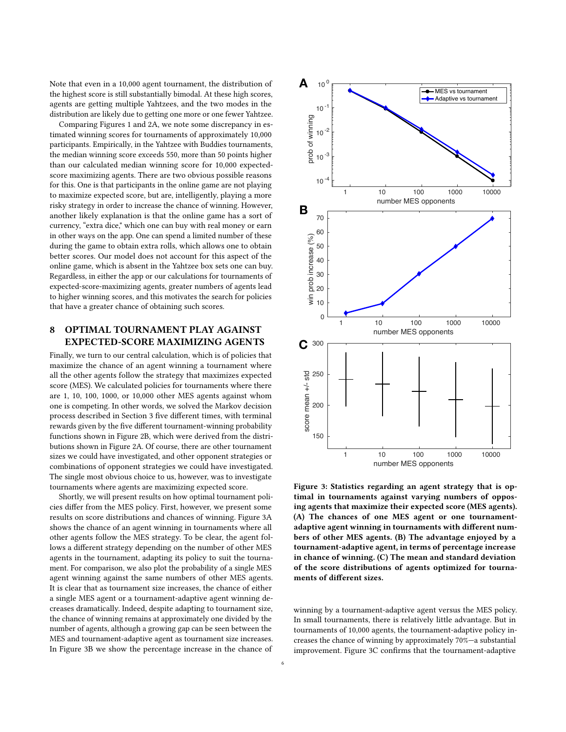Note that even in a 10,000 agent tournament, the distribution of the highest score is still substantially bimodal. At these high scores, agents are getting multiple Yahtzees, and the two modes in the distribution are likely due to getting one more or one fewer Yahtzee.

Comparing Figures [1](#page-4-0) and [2A](#page-4-1), we note some discrepancy in estimated winning scores for tournaments of approximately 10,000 participants. Empirically, in the Yahtzee with Buddies tournaments, the median winning score exceeds 550, more than 50 points higher than our calculated median winning score for 10,000 expectedscore maximizing agents. There are two obvious possible reasons for this. One is that participants in the online game are not playing to maximize expected score, but are, intelligently, playing a more risky strategy in order to increase the chance of winning. However, another likely explanation is that the online game has a sort of currency, "extra dice," which one can buy with real money or earn in other ways on the app. One can spend a limited number of these during the game to obtain extra rolls, which allows one to obtain better scores. Our model does not account for this aspect of the online game, which is absent in the Yahtzee box sets one can buy. Regardless, in either the app or our calculations for tournaments of expected-score-maximizing agents, greater numbers of agents lead to higher winning scores, and this motivates the search for policies that have a greater chance of obtaining such scores.

# 8 OPTIMAL TOURNAMENT PLAY AGAINST EXPECTED-SCORE MAXIMIZING AGENTS

Finally, we turn to our central calculation, which is of policies that maximize the chance of an agent winning a tournament where all the other agents follow the strategy that maximizes expected score (MES). We calculated policies for tournaments where there are 1, 10, 100, 1000, or 10,000 other MES agents against whom one is competing. In other words, we solved the Markov decision process described in Section [3](#page-1-0) five different times, with terminal rewards given by the five different tournament-winning probability functions shown in Figure [2B](#page-4-1), which were derived from the distributions shown in Figure [2A](#page-4-1). Of course, there are other tournament sizes we could have investigated, and other opponent strategies or combinations of opponent strategies we could have investigated. The single most obvious choice to us, however, was to investigate tournaments where agents are maximizing expected score.

Shortly, we will present results on how optimal tournament policies differ from the MES policy. First, however, we present some results on score distributions and chances of winning. Figure [3A](#page-5-0) shows the chance of an agent winning in tournaments where all other agents follow the MES strategy. To be clear, the agent follows a different strategy depending on the number of other MES agents in the tournament, adapting its policy to suit the tournament. For comparison, we also plot the probability of a single MES agent winning against the same numbers of other MES agents. It is clear that as tournament size increases, the chance of either a single MES agent or a tournament-adaptive agent winning decreases dramatically. Indeed, despite adapting to tournament size, the chance of winning remains at approximately one divided by the number of agents, although a growing gap can be seen between the MES and tournament-adaptive agent as tournament size increases. In Figure [3B](#page-5-0) we show the percentage increase in the chance of

<span id="page-5-0"></span>

Figure 3: Statistics regarding an agent strategy that is optimal in tournaments against varying numbers of opposing agents that maximize their expected score (MES agents). (A) The chances of one MES agent or one tournamentadaptive agent winning in tournaments with different numbers of other MES agents. (B) The advantage enjoyed by a tournament-adaptive agent, in terms of percentage increase in chance of winning. (C) The mean and standard deviation of the score distributions of agents optimized for tournaments of different sizes.

winning by a tournament-adaptive agent versus the MES policy. In small tournaments, there is relatively little advantage. But in tournaments of 10,000 agents, the tournament-adaptive policy increases the chance of winning by approximately 70%—a substantial improvement. Figure [3C](#page-5-0) confirms that the tournament-adaptive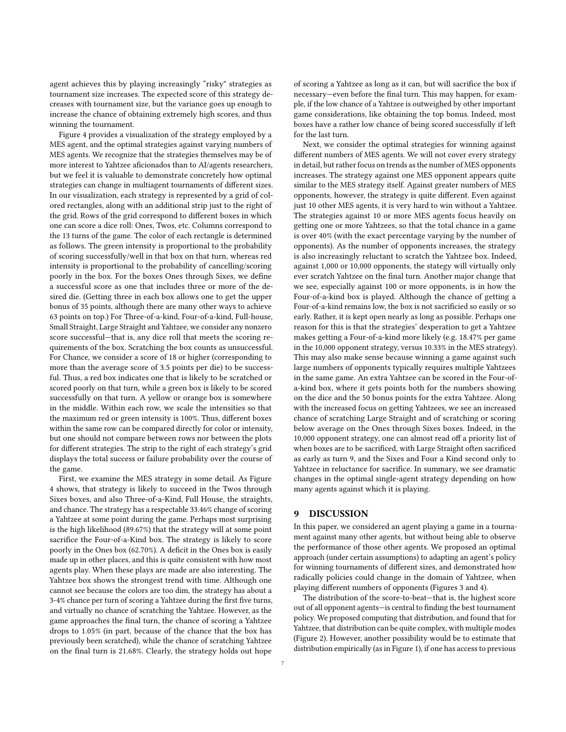agent achieves this by playing increasingly "risky" strategies as tournament size increases. The expected score of this strategy decreases with tournament size, but the variance goes up enough to increase the chance of obtaining extremely high scores, and thus winning the tournament.

Figure [4](#page-7-16) provides a visualization of the strategy employed by a MES agent, and the optimal strategies against varying numbers of MES agents. We recognize that the strategies themselves may be of more interest to Yahtzee aficionados than to AI/agents researchers, but we feel it is valuable to demonstrate concretely how optimal strategies can change in multiagent tournaments of different sizes. In our visualization, each strategy is represented by a grid of colored rectangles, along with an additional strip just to the right of the grid. Rows of the grid correspond to different boxes in which one can score a dice roll: Ones, Twos, etc. Columns correspond to the 13 turns of the game. The color of each rectangle is determined as follows. The green intensity is proportional to the probability of scoring successfully/well in that box on that turn, whereas red intensity is proportional to the probability of cancelling/scoring poorly in the box. For the boxes Ones through Sixes, we define a successful score as one that includes three or more of the desired die. (Getting three in each box allows one to get the upper bonus of 35 points, although there are many other ways to achieve 63 points on top.) For Three-of-a-kind, Four-of-a-kind, Full-house, Small Straight, Large Straight and Yahtzee, we consider any nonzero score successful—that is, any dice roll that meets the scoring requirements of the box. Scratching the box counts as unsuccessful. For Chance, we consider a score of 18 or higher (corresponding to more than the average score of 3.5 points per die) to be successful. Thus, a red box indicates one that is likely to be scratched or scored poorly on that turn, while a green box is likely to be scored successfully on that turn. A yellow or orange box is somewhere in the middle. Within each row, we scale the intensities so that the maximum red or green intensity is 100%. Thus, different boxes within the same row can be compared directly for color or intensity, but one should not compare between rows nor between the plots for different strategies. The strip to the right of each strategy's grid displays the total success or failure probability over the course of the game.

First, we examine the MES strategy in some detail. As Figure [4](#page-7-16) shows, that strategy is likely to succeed in the Twos through Sixes boxes, and also Three-of-a-Kind, Full House, the straights, and chance. The strategy has a respectable 33.46% change of scoring a Yahtzee at some point during the game. Perhaps most surprising is the high likelihood (89.67%) that the strategy will at some point sacrifice the Four-of-a-Kind box. The strategy is likely to score poorly in the Ones box (62.70%). A deficit in the Ones box is easily made up in other places, and this is quite consistent with how most agents play. When these plays are made are also interesting. The Yahtzee box shows the strongest trend with time. Although one cannot see because the colors are too dim, the strategy has about a 3-4% chance per turn of scoring a Yahtzee during the first five turns, and virtually no chance of scratching the Yahtzee. However, as the game approaches the final turn, the chance of scoring a Yahtzee drops to 1.05% (in part, because of the chance that the box has previously been scratched), while the chance of scratching Yahtzee on the final turn is 21.68%. Clearly, the strategy holds out hope

of scoring a Yahtzee as long as it can, but will sacrifice the box if necessary—even before the final turn. This may happen, for example, if the low chance of a Yahtzee is outweighed by other important game considerations, like obtaining the top bonus. Indeed, most boxes have a rather low chance of being scored successfully if left for the last turn.

Next, we consider the optimal strategies for winning against different numbers of MES agents. We will not cover every strategy in detail, but rather focus on trends as the number of MES opponents increases. The strategy against one MES opponent appears quite similar to the MES strategy itself. Against greater numbers of MES opponents, however, the strategy is quite different. Even against just 10 other MES agents, it is very hard to win without a Yahtzee. The strategies against 10 or more MES agents focus heavily on getting one or more Yahtzees, so that the total chance in a game is over 40% (with the exact percentage varying by the number of opponents). As the number of opponents increases, the strategy is also increasingly reluctant to scratch the Yahtzee box. Indeed, against 1,000 or 10,000 opponents, the stategy will virtually only ever scratch Yahtzee on the final turn. Another major change that we see, especially against 100 or more opponents, is in how the Four-of-a-kind box is played. Although the chance of getting a Four-of-a-kind remains low, the box is not sacrificied so easily or so early. Rather, it is kept open nearly as long as possible. Perhaps one reason for this is that the strategies' desperation to get a Yahtzee makes getting a Four-of-a-kind more likely (e.g. 18.47% per game in the 10,000 opponent strategy, versus 10.33% in the MES strategy). This may also make sense because winning a game against such large numbers of opponents typically requires multiple Yahtzees in the same game. An extra Yahtzee can be scored in the Four-ofa-kind box, where it gets points both for the numbers showing on the dice and the 50 bonus points for the extra Yahtzee. Along with the increased focus on getting Yahtzees, we see an increased chance of scratching Large Straight and of scratching or scoring below average on the Ones through Sixes boxes. Indeed, in the 10,000 opponent strategy, one can almost read off a priority list of when boxes are to be sacrificed, with Large Straight often sacrificed as early as turn 9, and the Sixes and Four a Kind second only to Yahtzee in reluctance for sacrifice. In summary, we see dramatic changes in the optimal single-agent strategy depending on how many agents against which it is playing.

#### 9 DISCUSSION

In this paper, we considered an agent playing a game in a tournament against many other agents, but without being able to observe the performance of those other agents. We proposed an optimal approach (under certain assumptions) to adapting an agent's policy for winning tournaments of different sizes, and demonstrated how radically policies could change in the domain of Yahtzee, when playing different numbers of opponents (Figures 3 and 4).

The distribution of the score-to-beat—that is, the highest score out of all opponent agents—is central to finding the best tournament policy. We proposed computing that distribution, and found that for Yahtzee, that distribution can be quite complex, with multiple modes (Figure [2\)](#page-4-1). However, another possibility would be to estimate that distribution empirically (as in Figure [1\)](#page-4-0), if one has access to previous